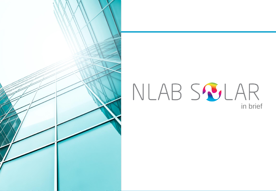

# NLAB SSJLAR in brief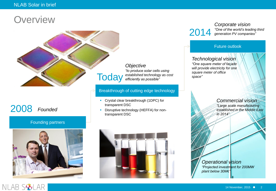## **Overview**



# 2008 *Founded*

NLAB S

### Founding partners



*Objective "to produce solar cells using established technology as cost efficiently as possible"*

#### Breakthrough of cutting edge technology

- **Crystal clear breakthrough (1DPC) for** transparent DSC
- **-** Disruptive technology (HEFFA) for nontransparent DSC



2014

*Corporate vision "One of the world's leading third generation PV companies"*

#### Future outlook

*Technological vision "One square meter of fa*ç*ade will provide electricity for one square meter of office space"*

> *Commercial vision "Large scale manufacturing established in the Middle East in 2014"*

*Operational vision "Projected investment for 200MW plant below 30M*€*"*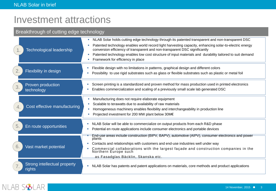### Investment attractions

### Breakthrough of cutting edge technology Manufacturing does not require elaborate equipment Scalable to terawatts due to availability of raw materials Homogeneous machinery enables flexibility and interchangeability in production line ■ Projected investment for 200 MW plant below 30M€ 4. Cost effective manufacturing End-use areas include construction (BIPV, BAPV), automotive (AIPV), consumer electronics and power plants Contacts and relationships with customers and end-use industries well under way Commercial collaborations with the largest façade and construction companies in the Northern Europe such as Fasadglas Bäcklin, Skanska etc. 6. Vast market potential NLAB Solar holds cutting edge technology through its patented transparent and non-transparent DSC Patented technology enables world record light harvesting capacity, enhancing solar-to-electric energy conversion efficiency of transparent and non-transparent DSC significantly Patented technology enables low cost structure of input materials and durability tailored to suit demand Framework for efficiency in place **Technological leadership Screen printing is a standardized and proven method for mass production used in printed electronics**  Enables commercialization and scaling of a previously small scale lab generated DSC Proven production 3. Froven pro **NLAB Solar will be able to commercialize on output products from each R&D phase** Potential en route apportunities **Potential en route applications include** consumer electronics and portable devices Strong intellectual property **Number 2018** Solar has patents and patent applications on materials, core methods and product applications **rights FILE 1** Flexible design with no limitations in patterns, graphical design and different colors Possibility in design<br>Possibility to use rigid substrates such as glass or flexible substrates such as plastic or metal foil 2.

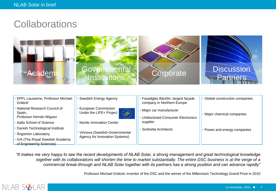# **Collaborations**



| EPFL Lausanne, Professor Michael<br>Grätzel | Swedish Energy Agency                                                  | Fasadglas Bäcklin, largest façade<br>company in Northern Europe | Global construction companies |
|---------------------------------------------|------------------------------------------------------------------------|-----------------------------------------------------------------|-------------------------------|
| National Research Council of<br>Spain,      | <b>European Commission</b><br>$\mathcal{L}$<br>Under the LIFE+ Project | Major car manufacturer                                          | • Major chemical companies    |
| Professor Hernán Míguez                     | $\star$ $\star$                                                        | <b>Undisclosed Consumer Electronics</b>                         |                               |
| Aalto School of Science                     | <b>Nordic Innovation Center</b>                                        | supplier                                                        |                               |
| Danish Technological Institute              |                                                                        | Snöhetta Architects                                             | Power and energy companies    |
| Ångström Laboratory                         | Vinnova (Swedish Governmental<br>Agency for Innovation Systems)        |                                                                 |                               |
| • IVA (The Royal Swedish Academy            |                                                                        |                                                                 |                               |
| of Engineering Sciences)                    |                                                                        |                                                                 |                               |

*"It makes me very happy to see the recent developments of NLAB Solar, a strong management and great technological knowledge together with its collaborations will shorten the time to market substantially. The entire DSC business is at the verge of a commercial break-through and NLAB Solar together with its partners has a strong position and can advance rapidly"*

Professor Michael Grätzel, inventor of the DSC and the winner of the Millennium Technology Grand Prize in 2010

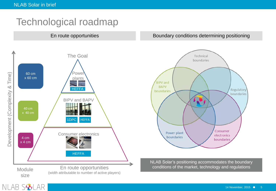# Technological roadmap



En route opportunities **Boundary conditions determining positioning** 



NLAB Solar's positioning accommodates the boundary conditions of the market, technology and regulations